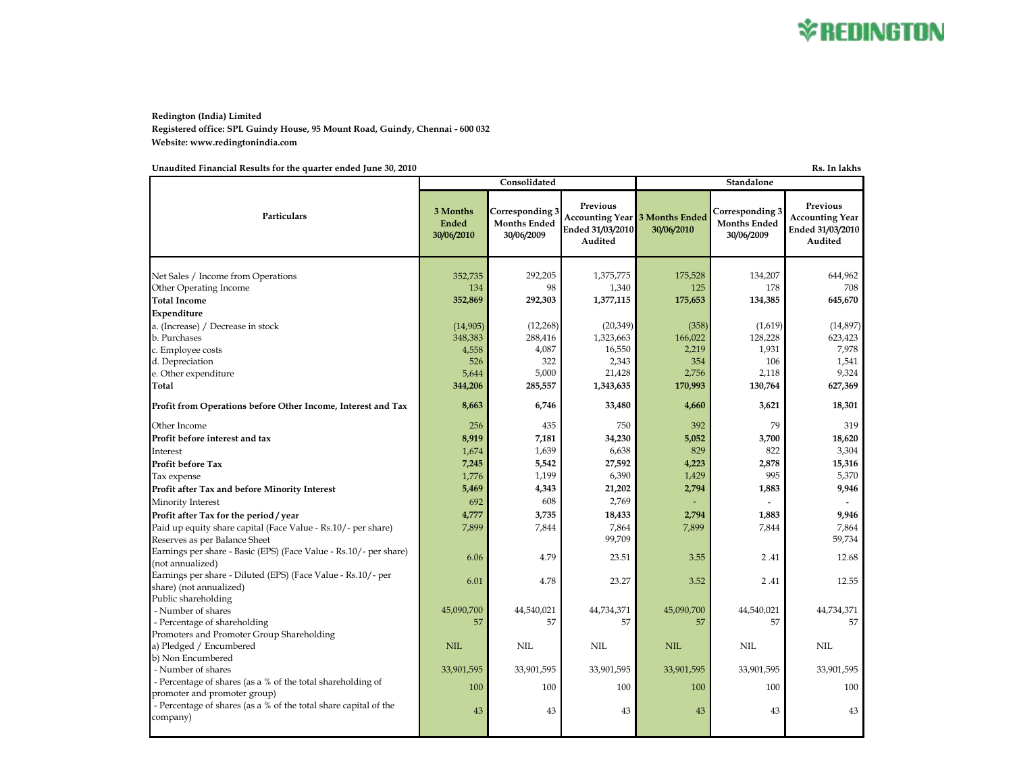**Redington (India) Limited Registered office: SPL Guindy House, 95 Mount Road, Guindy, Chennai - 600 032 Website: www.redingtonindia.com**

**Unaudited Financial Results for the quarter ended June 30, 2010 Rs. In lakhs**

**3 Months Ended 30/06/2010 Corresponding 3 Months Ended 30/06/2009 Previous Accounting Year 3 Months Ended Ended 31/03/2010 Audited 30/06/2010 Corresponding 3 Months Ended 30/06/2009 Previous Accounting Year Ended 31/03/2010 Audited** Net Sales / Income from Operations 644,962 352,735 352,735 352,735 352,735 352,735 352,735 1,375,775 175,528 134,207 Other Operating Income 2008 134 98 1,340 125 178 178 708 **Total Income 352,869 292,303 1,377,115 175,653 134,385 645,670 Expenditure** a. (Increase) / Decrease in stock (14,905) (14,905) (12,268) (20,349) (20,349) (358) (1619) (14,897) (14,897)<br>
b. Purchases (23,423 (23,423 (28,416 (22,566) (20,349) (358) (28,022 (28,423 (23,423 (23,423 (23,423 (23,423 b. Purchases 348,383 348,383 353 368,416 1,323,663 166,022 128,228 623,423 c. Employee costs 4,558 4,087 16,550 2,219 1,931 7,978 d. Depreciation 526 322 2,343 354 106 1,541 e. Other expenditure 2,118 2,234 5,000 21,428 2,756 2,118 9,324 **Total 344,206 285,557 1,343,635 170,993 130,764 627,369 Profit from Operations before Other Income, Interest and Tax 8,663 6,746 33,480 4,660 3,621 3,621 18,301** Other Income 256 256 435 750 392 79 319 **Profit before interest and tax 8,919 7,181 34,230 5,052 3,700 18,620** Interest 2001 1.639 1.639 829 822 822 3,304 Profit before Tax **15,316 15,316 15,316 15,316 15,316 15,316 15,316 15,316** Tax expense 2008 1,299 6,390 6,390 **1,199** 6,390 **1,199** 995 5,370 **Profit after Tax and before Minority Interest 1883 1896 1896 1896 1897 1,883** 1,883 1 1,883 1 1,883 1 1,883 1 1,883 1 1,883 1 1,883 1 1,883 1 1,883 1 1,883 1 1,883 1 1,883 1 1,883 1 1,883 1 1,883 1 1,883 1 1,883 1 1,883 1 Minority Interest the contract of the contract of  $\sim$  692  $\sim$  608  $\sim$  2,769  $\sim$  -  $\sim$  -  $\sim$  -**Profit after Tax for the period / year 4,777 46,839 3,735 18,433 2,794 1,883 1666 11667 1,883 1666 1,883** Paid up equity share capital (Face Value - Rs.10/- per share)  $\begin{array}{ccc} 7,899 & 7,844 & 7,864 \\ 7,899 & 7,709 & 7,844 \end{array}$  7,844 7,864 7,899 7,844 7,844 7,864 Reserves as per Balance Sheet Earnings per share - Basic (EPS) (Face Value - Rs.10/- per share) (not annualized) 2.41 12.68<br>(not annualized) 2.41 12.68 Earnings per share - Diluted (EPS) (Face Value - Rs.10/- per share) (not annualized) 8.01 12.55 (not annualized) 6.01 12.55 Public shareholding - Number of shares and the state of shares and the state of the 45,090,700  $\left| \frac{45,090,700}{44,540,021} \right|$   $\left| \frac{44,734,371}{45,090,700} \right|$   $\left| \frac{44,540,021}{44,734,371} \right|$   $\left| \frac{44,740,021}{44,734,371} \right|$  - Percentage of shareholding 57 57 57 57 57 57 Promoters and Promoter Group Shareholding a) Pledged / Encumbered NIL NIL NIL NIL NIL NIL b) Non Encumbered - Number of shares 23,901,595 33,901,595 33,901,595 33,901,595 33,901,595 33,901,595 33,901,595 33,901,595 33,901,595 33,901,595 33,901,595 33,901,595 33,901,595 33,901,595 33,901,595 33,901,595 33,901,595 33,901,595 33,90 - Percentage of shares (as a % of the total shareholding of promoter and promoter group) 100 100 100 100 100 100 - Percentage of shares (as a  $\%$  of the total share capital of the company)  $\frac{43}{43}$   $\frac{43}{43}$   $\frac{43}{43}$   $\frac{43}{43}$   $\frac{43}{43}$   $\frac{43}{43}$   $\frac{43}{43}$   $\frac{43}{43}$   $\frac{43}{43}$ **Particulars Consolidated Standalone**